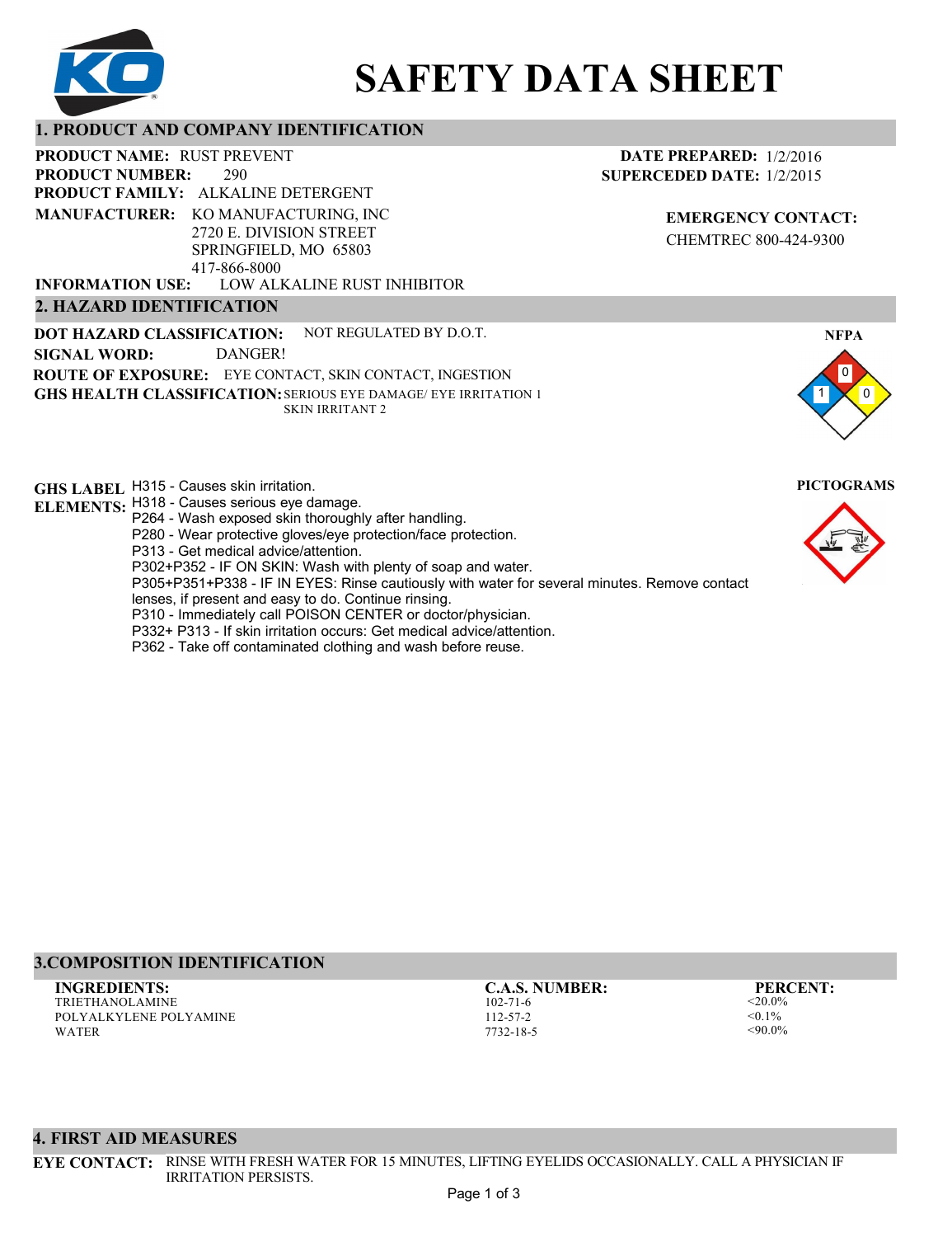

# **SAFETY DATA SHEET**

### **1. PRODUCT AND COMPANY IDENTIFICATION**

290 **PRODUCT NAME: RUST PREVENT PRODUCT FAMILY: ALKALINE DETERGENT** LOW ALKALINE RUST INHIBITOR **PRODUCT NUMBER: MANUFACTURER:** KO MANUFACTURING, INC 2720 E. DIVISION STREET SPRINGFIELD, MO 65803 417-866-8000 **INFORMATION USE:**

### **2. HAZARD IDENTIFICATION**

**DOT HAZARD CLASSIFICATION: GHS HEALTH CLASSIFICATION:** SERIOUS EYE DAMAGE/ EYE IRRITATION 1 **ROUTE OF EXPOSURE:** EYE CONTACT, SKIN CONTACT, INGESTION NOT REGULATED BY D.O.T. SKIN IRRITANT 2 **SIGNAL WORD:** DANGER!

**GHS LABEL**  H315 - Causes skin irritation. **PICTOGRAMS**

- **ELEMENTS:** H318 Causes serious eye damage.
	- P264 Wash exposed skin thoroughly after handling.
		- P280 Wear protective gloves/eye protection/face protection.
		- P313 Get medical advice/attention.
		- P302+P352 IF ON SKIN: Wash with plenty of soap and water.

P305+P351+P338 - IF IN EYES: Rinse cautiously with water for several minutes. Remove contact

- lenses, if present and easy to do. Continue rinsing.
- P310 Immediately call POISON CENTER or doctor/physician.
- P332+ P313 If skin irritation occurs: Get medical advice/attention.
- P362 Take off contaminated clothing and wash before reuse.

### **3.COMPOSITION IDENTIFICATION**

TRIETHANOLAMINE POLYALKYLENE POLYAMINE WATER **INGREDIENTS: C.A.S. NUMBER: PERCENT:**

102-71-6 112-57-2 7732-18-5

 $<$ 20.0%  $< 0.1\%$ <90.0%

1 0 0

**NFPA**

**EMERGENCY CONTACT:** CHEMTREC 800-424-9300

**DATE PREPARED:** 1/2/2016 **SUPERCEDED DATE:** 1/2/2015





**EYE CONTACT:** RINSE WITH FRESH WATER FOR 15 MINUTES, LIFTING EYELIDS OCCASIONALLY. CALL A PHYSICIAN IF IRRITATION PERSISTS.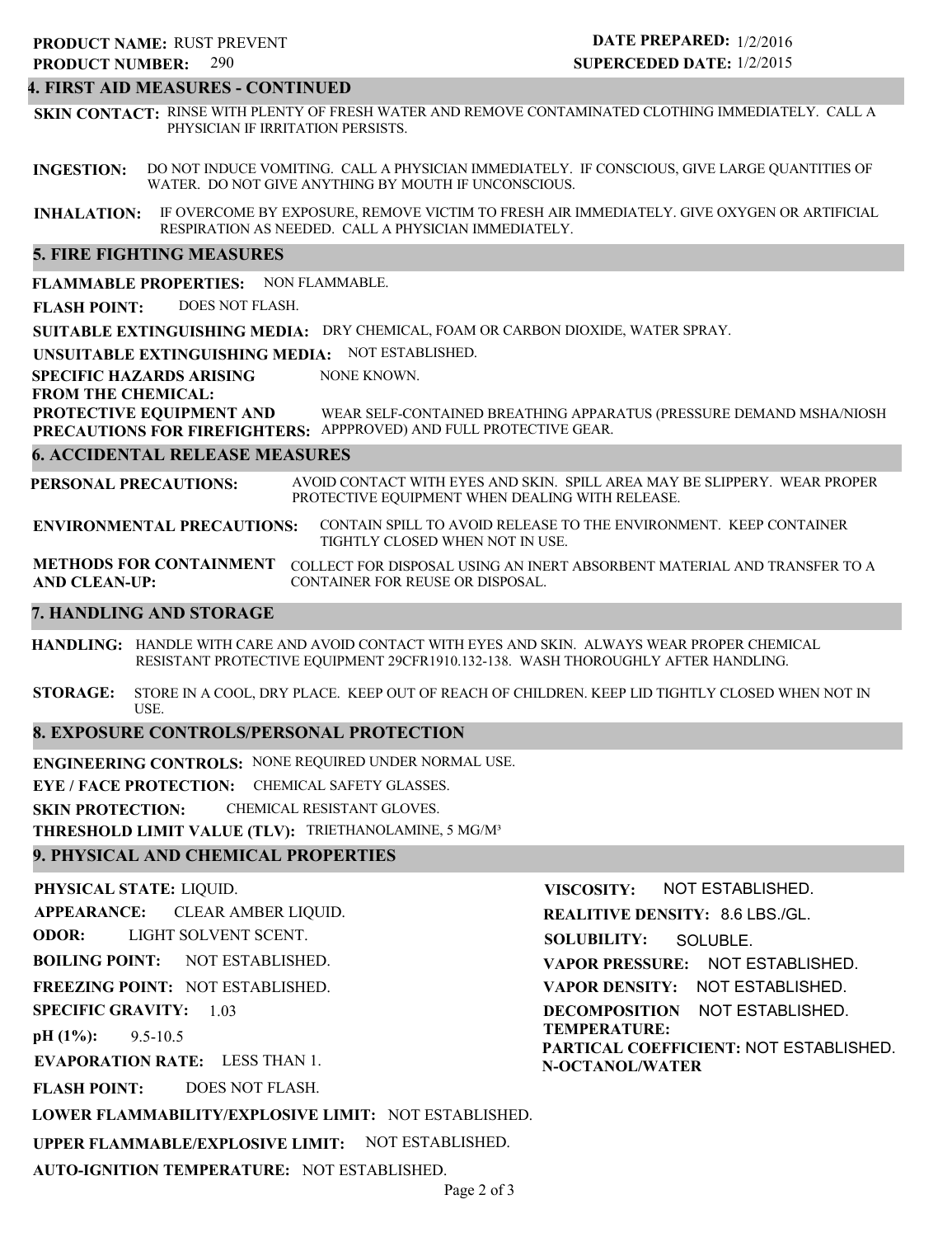290 **PRODUCT NUMBER: PRODUCT NAME: RUST PREVENT** 

### **DATE PREPARED:** 1/2/2016 **SUPERCEDED DATE:** 1/2/2015

### **4. FIRST AID MEASURES - CONTINUED**

**SKIN CONTACT:** RINSE WITH PLENTY OF FRESH WATER AND REMOVE CONTAMINATED CLOTHING IMMEDIATELY. CALL A PHYSICIAN IF IRRITATION PERSISTS.

**INGESTION:** DO NOT INDUCE VOMITING. CALL A PHYSICIAN IMMEDIATELY. IF CONSCIOUS, GIVE LARGE QUANTITIES OF WATER. DO NOT GIVE ANYTHING BY MOUTH IF UNCONSCIOUS.

**INHALATION:** IF OVERCOME BY EXPOSURE, REMOVE VICTIM TO FRESH AIR IMMEDIATELY. GIVE OXYGEN OR ARTIFICIAL RESPIRATION AS NEEDED. CALL A PHYSICIAN IMMEDIATELY.

### **5. FIRE FIGHTING MEASURES**

**FLAMMABLE PROPERTIES:** NON FLAMMABLE.

**FLASH POINT:** DOES NOT FLASH.

**SUITABLE EXTINGUISHING MEDIA:** DRY CHEMICAL, FOAM OR CARBON DIOXIDE, WATER SPRAY.

**UNSUITABLE EXTINGUISHING MEDIA:** NOT ESTABLISHED.

**SPECIFIC HAZARDS ARISING** NONE KNOWN.

**FROM THE CHEMICAL:**

**PROTECTIVE EQUIPMENT AND PRECAUTIONS FOR FIREFIGHTERS:** APPPROVED) AND FULL PROTECTIVE GEAR. WEAR SELF-CONTAINED BREATHING APPARATUS (PRESSURE DEMAND MSHA/NIOSH

### **6. ACCIDENTAL RELEASE MEASURES**

**PERSONAL PRECAUTIONS:** AVOID CONTACT WITH EYES AND SKIN. SPILL AREA MAY BE SLIPPERY. WEAR PROPER PROTECTIVE EQUIPMENT WHEN DEALING WITH RELEASE.

**ENVIRONMENTAL PRECAUTIONS:** CONTAIN SPILL TO AVOID RELEASE TO THE ENVIRONMENT. KEEP CONTAINER TIGHTLY CLOSED WHEN NOT IN USE.

**METHODS FOR CONTAINMENT** COLLECT FOR DISPOSAL USING AN INERT ABSORBENT MATERIAL AND TRANSFER TO A **AND CLEAN-UP:** CONTAINER FOR REUSE OR DISPOSAL.

### **7. HANDLING AND STORAGE**

**HANDLING:** HANDLE WITH CARE AND AVOID CONTACT WITH EYES AND SKIN. ALWAYS WEAR PROPER CHEMICAL RESISTANT PROTECTIVE EQUIPMENT 29CFR1910.132-138. WASH THOROUGHLY AFTER HANDLING.

**STORAGE:** STORE IN A COOL, DRY PLACE. KEEP OUT OF REACH OF CHILDREN. KEEP LID TIGHTLY CLOSED WHEN NOT IN USE.

### **8. EXPOSURE CONTROLS/PERSONAL PROTECTION**

**ENGINEERING CONTROLS:** NONE REQUIRED UNDER NORMAL USE.

**EYE / FACE PROTECTION:** CHEMICAL SAFETY GLASSES.

**SKIN PROTECTION:** CHEMICAL RESISTANT GLOVES.

**THRESHOLD LIMIT VALUE (TLV):** TRIETHANOLAMINE, 5 MG/M³

### **9. PHYSICAL AND CHEMICAL PROPERTIES**

**PHYSICAL STATE:** LIQUID. **APPEARANCE:** CLEAR AMBER LIQUID.

**ODOR:** LIGHT SOLVENT SCENT.

**BOILING POINT:** NOT ESTABLISHED.

**FREEZING POINT:** NOT ESTABLISHED.

**SPECIFIC GRAVITY:** 1.03

**pH (1%):** 9.5-10.5

**EVAPORATION RATE:** LESS THAN 1.

**FLASH POINT:** DOES NOT FLASH.

**LOWER FLAMMABILITY/EXPLOSIVE LIMIT:** NOT ESTABLISHED.

**UPPER FLAMMABLE/EXPLOSIVE LIMIT:** NOT ESTABLISHED.

**AUTO-IGNITION TEMPERATURE:** NOT ESTABLISHED.

**VISCOSITY: REALITIVE DENSITY:** 8.6 LBS./GL. **SOLUBILITY: VAPOR PRESSURE:** NOT ESTABLISHED. **VAPOR DENSITY:** NOT ESTABLISHED. **DECOMPOSITION** NOT ESTABLISHED. **TEMPERATURE: PARTICAL COEFFICIENT:** NOT ESTABLISHED. **N-OCTANOL/WATER** NOT ESTABLISHED. SOLUBLE.